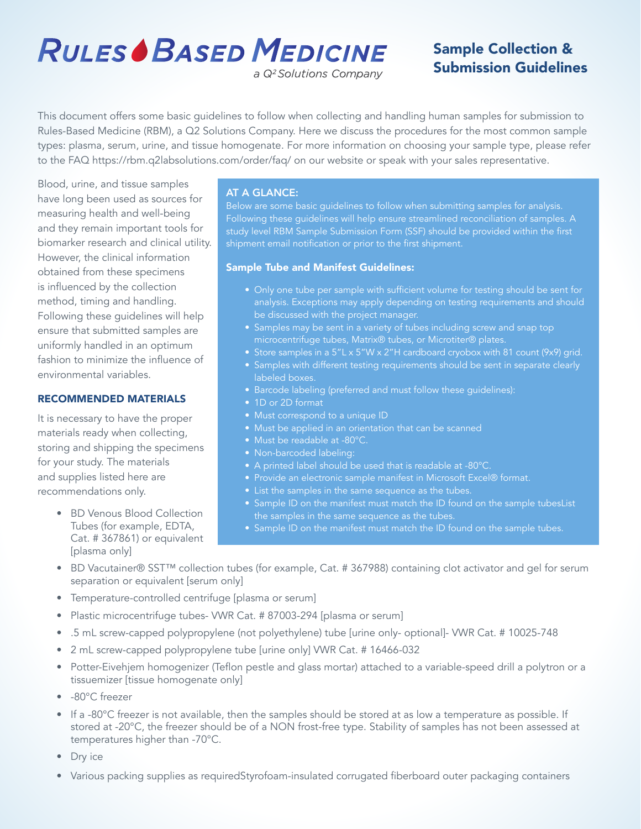# **RULES BASED MEDICINE**

# Sample Collection & Submission Guidelines

a Q<sup>2</sup>Solutions Company

This document offers some basic guidelines to follow when collecting and handling human samples for submission to Rules-Based Medicine (RBM), a Q2 Solutions Company. Here we discuss the procedures for the most common sample types: plasma, serum, urine, and tissue homogenate. For more information on choosing your sample type, please refer to the FAQ https://rbm.q2labsolutions.com/order/faq/ on our website or speak with your sales representative.

Blood, urine, and tissue samples have long been used as sources for measuring health and well-being and they remain important tools for biomarker research and clinical utility. However, the clinical information obtained from these specimens is influenced by the collection method, timing and handling. Following these guidelines will help ensure that submitted samples are uniformly handled in an optimum fashion to minimize the influence of environmental variables.

# RECOMMENDED MATERIALS

It is necessary to have the proper materials ready when collecting, storing and shipping the specimens for your study. The materials and supplies listed here are recommendations only.

> • BD Venous Blood Collection Tubes (for example, EDTA, Cat. # 367861) or equivalent [plasma only]

# AT A GLANCE:

Below are some basic guidelines to follow when submitting samples for analysis. Following these guidelines will help ensure streamlined reconciliation of samples. A study level RBM Sample Submission Form (SSF) should be provided within the first shipment email notification or prior to the first shipment.

# Sample Tube and Manifest Guidelines:

- Only one tube per sample with sufficient volume for testing should be sent for analysis. Exceptions may apply depending on testing requirements and should be discussed with the project manager.
- Samples may be sent in a variety of tubes including screw and snap top microcentrifuge tubes, Matrix® tubes, or Microtiter® plates.
- Store samples in a 5"L x 5"W x 2"H cardboard cryobox with 81 count (9x9) grid.
- Samples with different testing requirements should be sent in separate clearly labeled boxes.
- Barcode labeling (preferred and must follow these guidelines):
- 1D or 2D format
- Must correspond to a unique ID
- Must be applied in an orientation that can be scanned
- Must be readable at -80°C.
- Non-barcoded labeling:
- A printed label should be used that is readable at -80°C.
- Provide an electronic sample manifest in Microsoft Excel® format.
- List the samples in the same sequence as the tubes.
- Sample ID on the manifest must match the ID found on the sample tubesList the samples in the same sequence as the tubes.
- Sample ID on the manifest must match the ID found on the sample tubes.
- BD Vacutainer® SST™ collection tubes (for example, Cat. # 367988) containing clot activator and gel for serum separation or equivalent [serum only]
- Temperature-controlled centrifuge [plasma or serum]
- Plastic microcentrifuge tubes- VWR Cat. # 87003-294 [plasma or serum]
- .5 mL screw-capped polypropylene (not polyethylene) tube [urine only- optional]- VWR Cat. # 10025-748
- 2 mL screw-capped polypropylene tube [urine only] VWR Cat. # 16466-032
- Potter-Eivehjem homogenizer (Teflon pestle and glass mortar) attached to a variable-speed drill a polytron or a tissuemizer [tissue homogenate only]
- -80°C freezer
- If a -80°C freezer is not available, then the samples should be stored at as low a temperature as possible. If stored at -20°C, the freezer should be of a NON frost-free type. Stability of samples has not been assessed at temperatures higher than -70°C.
- Dry ice
- Various packing supplies as requiredStyrofoam-insulated corrugated fiberboard outer packaging containers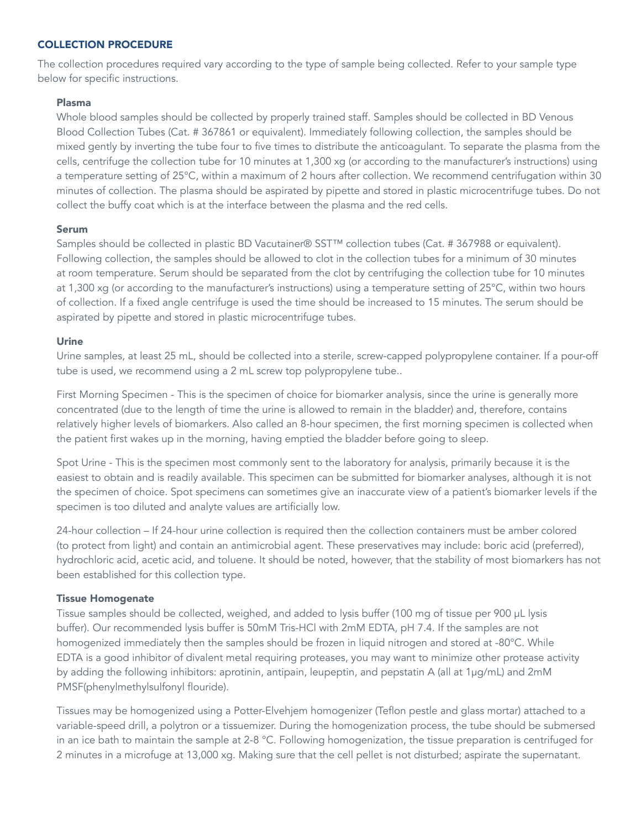# COLLECTION PROCEDURE

The collection procedures required vary according to the type of sample being collected. Refer to your sample type below for specific instructions.

#### Plasma

Whole blood samples should be collected by properly trained staff. Samples should be collected in BD Venous Blood Collection Tubes (Cat. # 367861 or equivalent). Immediately following collection, the samples should be mixed gently by inverting the tube four to five times to distribute the anticoagulant. To separate the plasma from the cells, centrifuge the collection tube for 10 minutes at 1,300 xg (or according to the manufacturer's instructions) using a temperature setting of 25°C, within a maximum of 2 hours after collection. We recommend centrifugation within 30 minutes of collection. The plasma should be aspirated by pipette and stored in plastic microcentrifuge tubes. Do not collect the buffy coat which is at the interface between the plasma and the red cells.

#### Serum

Samples should be collected in plastic BD Vacutainer® SST™ collection tubes (Cat. # 367988 or equivalent). Following collection, the samples should be allowed to clot in the collection tubes for a minimum of 30 minutes at room temperature. Serum should be separated from the clot by centrifuging the collection tube for 10 minutes at 1,300 xg (or according to the manufacturer's instructions) using a temperature setting of 25°C, within two hours of collection. If a fixed angle centrifuge is used the time should be increased to 15 minutes. The serum should be aspirated by pipette and stored in plastic microcentrifuge tubes.

#### Urine

Urine samples, at least 25 mL, should be collected into a sterile, screw-capped polypropylene container. If a pour-off tube is used, we recommend using a 2 mL screw top polypropylene tube..

First Morning Specimen - This is the specimen of choice for biomarker analysis, since the urine is generally more concentrated (due to the length of time the urine is allowed to remain in the bladder) and, therefore, contains relatively higher levels of biomarkers. Also called an 8-hour specimen, the first morning specimen is collected when the patient first wakes up in the morning, having emptied the bladder before going to sleep.

Spot Urine - This is the specimen most commonly sent to the laboratory for analysis, primarily because it is the easiest to obtain and is readily available. This specimen can be submitted for biomarker analyses, although it is not the specimen of choice. Spot specimens can sometimes give an inaccurate view of a patient's biomarker levels if the specimen is too diluted and analyte values are artificially low.

24-hour collection – If 24-hour urine collection is required then the collection containers must be amber colored (to protect from light) and contain an antimicrobial agent. These preservatives may include: boric acid (preferred), hydrochloric acid, acetic acid, and toluene. It should be noted, however, that the stability of most biomarkers has not been established for this collection type.

# Tissue Homogenate

Tissue samples should be collected, weighed, and added to lysis buffer (100 mg of tissue per 900 μL lysis buffer). Our recommended lysis buffer is 50mM Tris-HCl with 2mM EDTA, pH 7.4. If the samples are not homogenized immediately then the samples should be frozen in liquid nitrogen and stored at -80°C. While EDTA is a good inhibitor of divalent metal requiring proteases, you may want to minimize other protease activity by adding the following inhibitors: aprotinin, antipain, leupeptin, and pepstatin A (all at 1μg/mL) and 2mM PMSF(phenylmethylsulfonyl flouride).

Tissues may be homogenized using a Potter-Elvehjem homogenizer (Teflon pestle and glass mortar) attached to a variable-speed drill, a polytron or a tissuemizer. During the homogenization process, the tube should be submersed in an ice bath to maintain the sample at 2-8 °C. Following homogenization, the tissue preparation is centrifuged for 2 minutes in a microfuge at 13,000 xg. Making sure that the cell pellet is not disturbed; aspirate the supernatant.